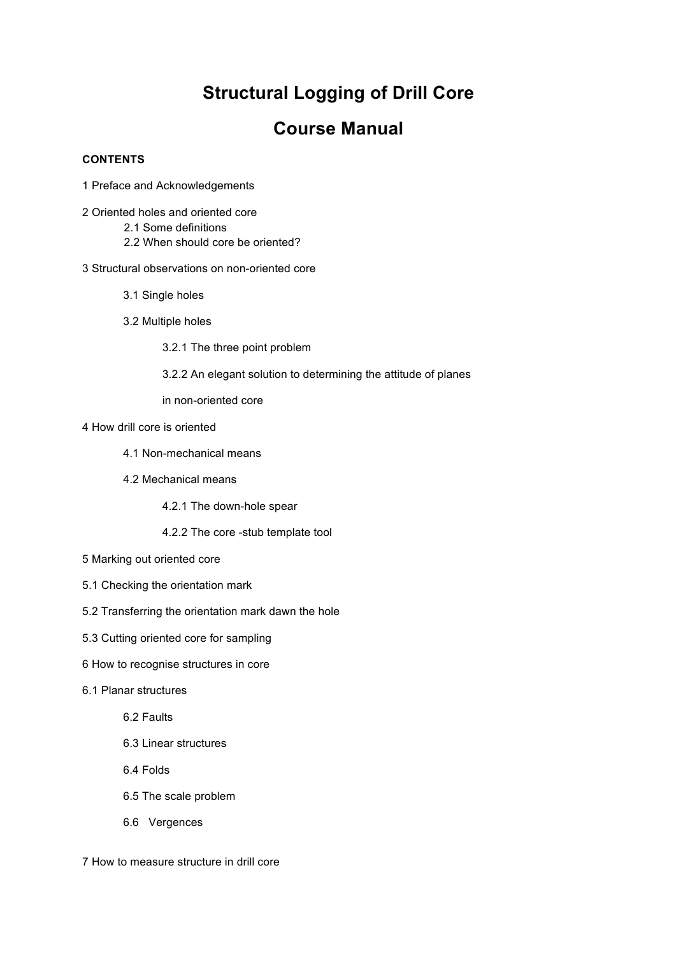## **Structural Logging of Drill Core**

## **Course Manual**

## **CONTENTS**

- 1 Preface and Acknowledgements
- 2 Oriented holes and oriented core
	- 2.1 Some definitions
	- 2.2 When should core be oriented?
- 3 Structural observations on non-oriented core
	- 3.1 Single holes
	- 3.2 Multiple holes
		- 3.2.1 The three point problem
		- 3.2.2 An elegant solution to determining the attitude of planes

in non-oriented core

- 4 How drill core is oriented
	- 4.1 Non-mechanical means
	- 4.2 Mechanical means

4.2.1 The down-hole spear

4.2.2 The core -stub template tool

- 5 Marking out oriented core
- 5.1 Checking the orientation mark
- 5.2 Transferring the orientation mark dawn the hole
- 5.3 Cutting oriented core for sampling
- 6 How to recognise structures in core
- 6.1 Planar structures

6.2 Faults

- 6.3 Linear structures
- 6.4 Folds
- 6.5 The scale problem
- 6.6 Vergences

7 How to measure structure in drill core